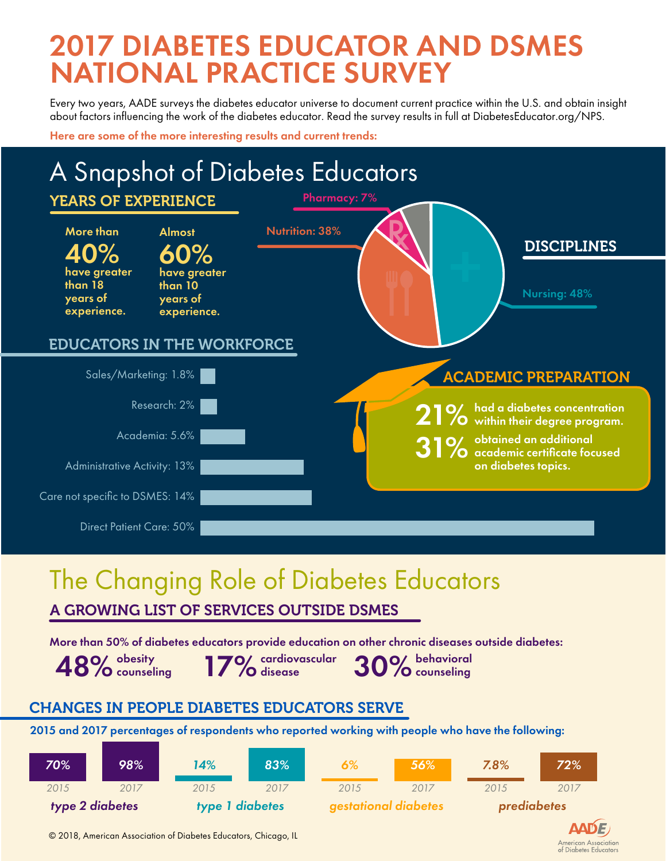## 2017 DIABETES EDUCATOR AND DSMES NATIONAL PRACTICE SURVEY

Every two years, AADE surveys the diabetes educator universe to document current practice within the U.S. and obtain insight about factors influencing the work of the diabetes educator. Read the survey results i[n full at DiabetesEducato](http://journals.sagepub.com/doi/pdf/10.1177/0145721718765446)r.org/NPS.

Here are some of the more interesting results and current trends:



### The Changing Role of Diabetes Educators

A GROWING LIST OF SERVICES OUTSIDE DSMES

More than 50% of diabetes educators provide education on other chronic diseases outside diabetes:

obesity counseling 48% obesity 17% cardiovascular 30% behavioral entry of the sense in the sense of the sense of the sense in the  $\sim$  48% counseling

cardiovascular

### CHANGES IN PEOPLE DIABETES EDUCATORS SERVE

2015 and 2017 percentages of respondents who reported working with people who have the following:

| 70%             | 98%  | 14%             | 83%  | 6%                          | 56%  | 7.8%        | 72%  |
|-----------------|------|-----------------|------|-----------------------------|------|-------------|------|
| 2015            | 2017 | 2015            | 2017 | 2015                        | 2017 | 2015        | 2017 |
| type 2 diabetes |      | type 1 diabetes |      | <b>gestational diabetes</b> |      | prediabetes |      |



© 2018, American Association of Diabetes Educators, Chicago, IL